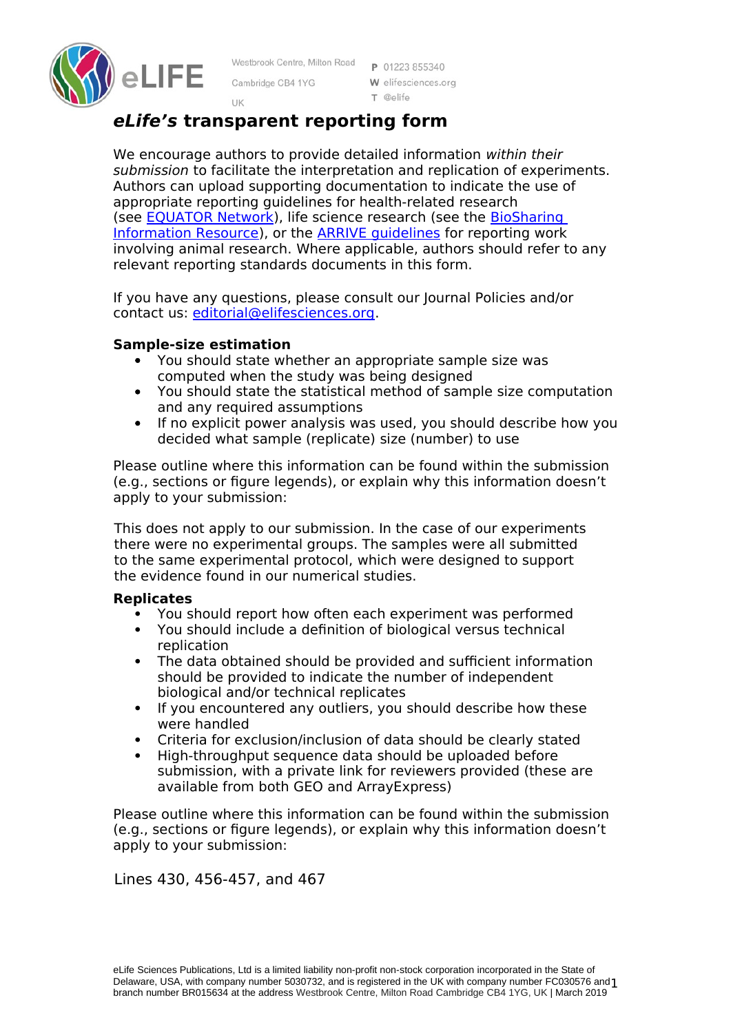

Westbrook Centre, Milton Road Cambridge CB4 1YG

P 01223 855340 W elifesciences.org  $T$  @elife

# **eLife's transparent reporting form**

UK

We encourage authors to provide detailed information within their submission to facilitate the interpretation and replication of experiments. Authors can upload supporting documentation to indicate the use of appropriate reporting guidelines for health-related research (see [EQUATOR Network\)](http://www.equator-network.org/%20%20%5Ct%20_blank), life science research (see the BioSharing [Information Resource\)](https://biosharing.org/), or the [ARRIVE guidelines](http://www.plosbiology.org/article/info:doi/10.1371/journal.pbio.1000412) for reporting work involving animal research. Where applicable, authors should refer to any relevant reporting standards documents in this form.

If you have any questions, please consult our Journal Policies and/or contact us: [editorial@elifesciences.org.](mailto:editorial@elifesciences.org)

## **Sample-size estimation**

- You should state whether an appropriate sample size was computed when the study was being designed
- You should state the statistical method of sample size computation and any required assumptions
- If no explicit power analysis was used, you should describe how you decided what sample (replicate) size (number) to use

Please outline where this information can be found within the submission (e.g., sections or figure legends), or explain why this information doesn't apply to your submission:

This does not apply to our submission. In the case of our experiments there were no experimental groups. The samples were all submitted to the same experimental protocol, which were designed to support the evidence found in our numerical studies.

### **Replicates**

- You should report how often each experiment was performed
- You should include a definition of biological versus technical replication
- The data obtained should be provided and sufficient information should be provided to indicate the number of independent biological and/or technical replicates
- If you encountered any outliers, you should describe how these were handled
- Criteria for exclusion/inclusion of data should be clearly stated
- High-throughput sequence data should be uploaded before submission, with a private link for reviewers provided (these are available from both GEO and ArrayExpress)

Please outline where this information can be found within the submission (e.g., sections or figure legends), or explain why this information doesn't apply to your submission:

Lines 430, 456-457, and 467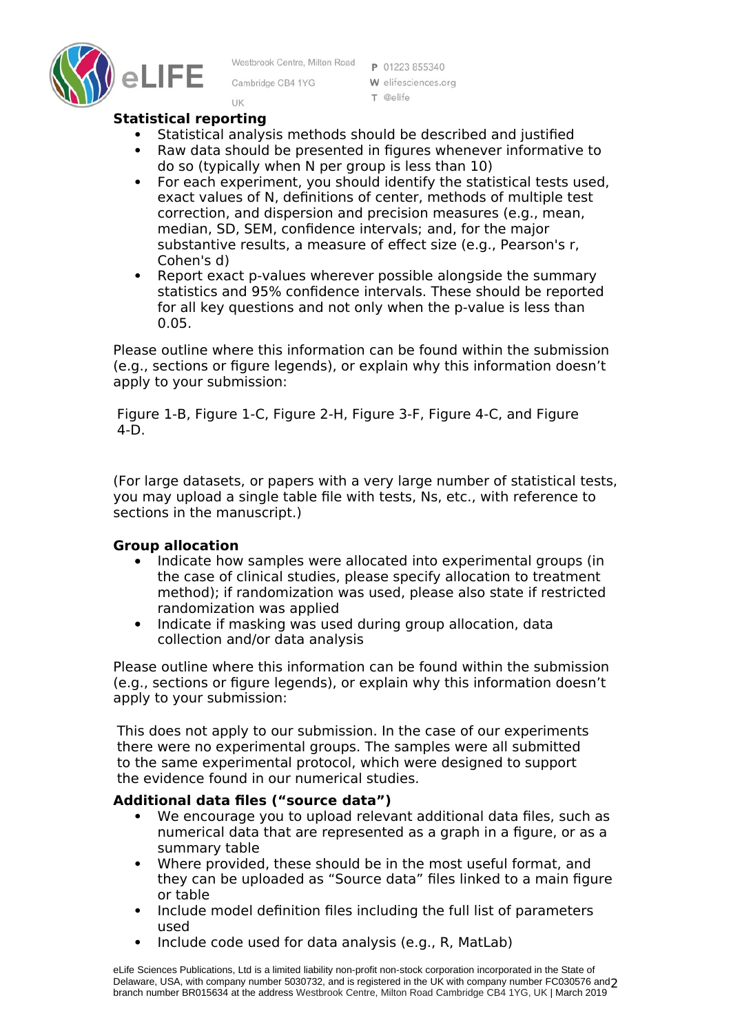

Westbrook Centre, Milton Road

Cambridge CB4 1YG

P 01223 855340 W elifesciences.org  $T$  @elife

### **Statistical reporting**

UK

- Statistical analysis methods should be described and justified
- Raw data should be presented in figures whenever informative to do so (typically when N per group is less than 10)
- For each experiment, you should identify the statistical tests used, exact values of N, definitions of center, methods of multiple test correction, and dispersion and precision measures (e.g., mean, median, SD, SEM, confidence intervals; and, for the major substantive results, a measure of effect size (e.g., Pearson's r, Cohen's d)
- Report exact p-values wherever possible alongside the summary statistics and 95% confidence intervals. These should be reported for all key questions and not only when the p-value is less than 0.05.

Please outline where this information can be found within the submission (e.g., sections or figure legends), or explain why this information doesn't apply to your submission:

Figure 1-B, Figure 1-C, Figure 2-H, Figure 3-F, Figure 4-C, and Figure 4-D.

(For large datasets, or papers with a very large number of statistical tests, you may upload a single table file with tests, Ns, etc., with reference to sections in the manuscript.)

### **Group allocation**

- Indicate how samples were allocated into experimental groups (in the case of clinical studies, please specify allocation to treatment method); if randomization was used, please also state if restricted randomization was applied
- Indicate if masking was used during group allocation, data collection and/or data analysis

Please outline where this information can be found within the submission (e.g., sections or figure legends), or explain why this information doesn't apply to your submission:

This does not apply to our submission. In the case of our experiments there were no experimental groups. The samples were all submitted to the same experimental protocol, which were designed to support the evidence found in our numerical studies.

#### **Additional data files ("source data")**

- We encourage you to upload relevant additional data files, such as numerical data that are represented as a graph in a figure, or as a summary table
- Where provided, these should be in the most useful format, and they can be uploaded as "Source data" files linked to a main figure or table
- Include model definition files including the full list of parameters used
- Include code used for data analysis (e.g., R, MatLab)